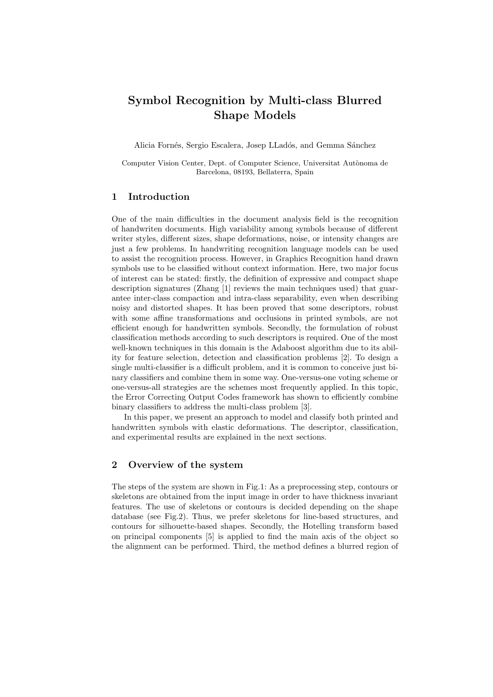# Symbol Recognition by Multi-class Blurred Shape Models

Alicia Fornés, Sergio Escalera, Josep LLadós, and Gemma Sánchez

Computer Vision Center, Dept. of Computer Science, Universitat Autònoma de Barcelona, 08193, Bellaterra, Spain

## 1 Introduction

One of the main difficulties in the document analysis field is the recognition of handwriten documents. High variability among symbols because of different writer styles, different sizes, shape deformations, noise, or intensity changes are just a few problems. In handwriting recognition language models can be used to assist the recognition process. However, in Graphics Recognition hand drawn symbols use to be classified without context information. Here, two major focus of interest can be stated: firstly, the definition of expressive and compact shape description signatures (Zhang [1] reviews the main techniques used) that guarantee inter-class compaction and intra-class separability, even when describing noisy and distorted shapes. It has been proved that some descriptors, robust with some affine transformations and occlusions in printed symbols, are not efficient enough for handwritten symbols. Secondly, the formulation of robust classification methods according to such descriptors is required. One of the most well-known techniques in this domain is the Adaboost algorithm due to its ability for feature selection, detection and classification problems [2]. To design a single multi-classifier is a difficult problem, and it is common to conceive just binary classifiers and combine them in some way. One-versus-one voting scheme or one-versus-all strategies are the schemes most frequently applied. In this topic, the Error Correcting Output Codes framework has shown to efficiently combine binary classifiers to address the multi-class problem [3].

In this paper, we present an approach to model and classify both printed and handwritten symbols with elastic deformations. The descriptor, classification, and experimental results are explained in the next sections.

## 2 Overview of the system

The steps of the system are shown in Fig.1: As a preprocessing step, contours or skeletons are obtained from the input image in order to have thickness invariant features. The use of skeletons or contours is decided depending on the shape database (see Fig.2). Thus, we prefer skeletons for line-based structures, and contours for silhouette-based shapes. Secondly, the Hotelling transform based on principal components [5] is applied to find the main axis of the object so the alignment can be performed. Third, the method defines a blurred region of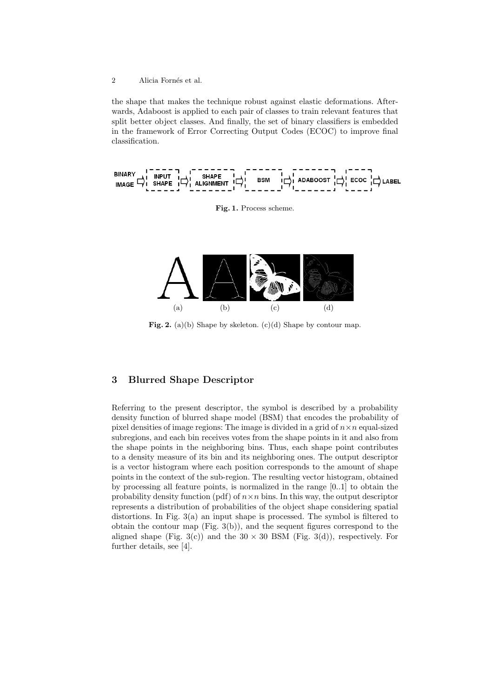2 Alicia Fornés et al.

the shape that makes the technique robust against elastic deformations. Afterwards, Adaboost is applied to each pair of classes to train relevant features that split better object classes. And finally, the set of binary classifiers is embedded in the framework of Error Correcting Output Codes (ECOC) to improve final classification.



Fig. 1. Process scheme.



Fig. 2. (a)(b) Shape by skeleton.  $(c)(d)$  Shape by contour map.

## 3 Blurred Shape Descriptor

Referring to the present descriptor, the symbol is described by a probability density function of blurred shape model (BSM) that encodes the probability of pixel densities of image regions: The image is divided in a grid of  $n \times n$  equal-sized subregions, and each bin receives votes from the shape points in it and also from the shape points in the neighboring bins. Thus, each shape point contributes to a density measure of its bin and its neighboring ones. The output descriptor is a vector histogram where each position corresponds to the amount of shape points in the context of the sub-region. The resulting vector histogram, obtained by processing all feature points, is normalized in the range [0..1] to obtain the probability density function (pdf) of  $n \times n$  bins. In this way, the output descriptor represents a distribution of probabilities of the object shape considering spatial distortions. In Fig. 3(a) an input shape is processed. The symbol is filtered to obtain the contour map (Fig. 3(b)), and the sequent figures correspond to the aligned shape (Fig. 3(c)) and the  $30 \times 30$  BSM (Fig. 3(d)), respectively. For further details, see [4].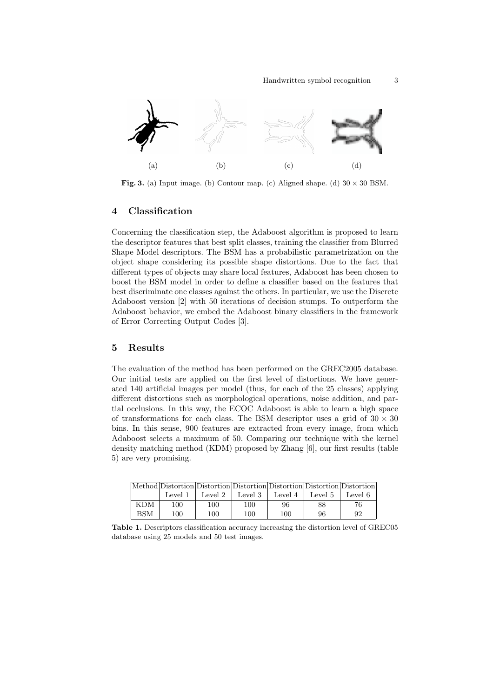

Fig. 3. (a) Input image. (b) Contour map. (c) Aligned shape. (d)  $30 \times 30$  BSM.

### 4 Classification

Concerning the classification step, the Adaboost algorithm is proposed to learn the descriptor features that best split classes, training the classifier from Blurred Shape Model descriptors. The BSM has a probabilistic parametrization on the object shape considering its possible shape distortions. Due to the fact that different types of objects may share local features, Adaboost has been chosen to boost the BSM model in order to define a classifier based on the features that best discriminate one classes against the others. In particular, we use the Discrete Adaboost version [2] with 50 iterations of decision stumps. To outperform the Adaboost behavior, we embed the Adaboost binary classifiers in the framework of Error Correcting Output Codes [3].

#### 5 Results

The evaluation of the method has been performed on the GREC2005 database. Our initial tests are applied on the first level of distortions. We have generated 140 artificial images per model (thus, for each of the 25 classes) applying different distortions such as morphological operations, noise addition, and partial occlusions. In this way, the ECOC Adaboost is able to learn a high space of transformations for each class. The BSM descriptor uses a grid of  $30 \times 30$ bins. In this sense, 900 features are extracted from every image, from which Adaboost selects a maximum of 50. Comparing our technique with the kernel density matching method (KDM) proposed by Zhang [6], our first results (table 5) are very promising.

|            |         | Method Distortion Distortion Distortion Distortion Distortion Distortion |         |         |         |         |
|------------|---------|--------------------------------------------------------------------------|---------|---------|---------|---------|
|            | Level 1 | Level 2                                                                  | Level 3 | Level 4 | Level 5 | Level 6 |
| <b>KDM</b> | 100     | 100                                                                      | 100     | 96      | 88      | 76      |
| BSM        | 100     | 100                                                                      | 100     | 100     | 96      | 92      |

Table 1. Descriptors classification accuracy increasing the distortion level of GREC05 database using 25 models and 50 test images.